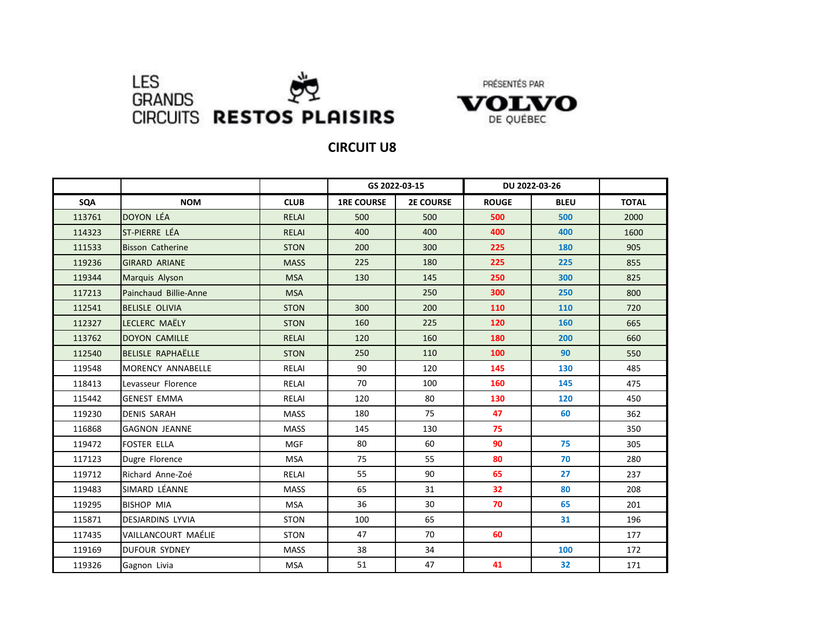



## **CIRCUIT U8**

|            |                            |              | GS 2022-03-15     |                  | DU 2022-03-26   |             |              |
|------------|----------------------------|--------------|-------------------|------------------|-----------------|-------------|--------------|
| <b>SQA</b> | <b>NOM</b>                 | <b>CLUB</b>  | <b>1RE COURSE</b> | <b>2E COURSE</b> | <b>ROUGE</b>    | <b>BLEU</b> | <b>TOTAL</b> |
| 113761     | <b>DOYON LÉA</b>           | <b>RELAI</b> | 500               | 500              | 500             | 500         | 2000         |
| 114323     | ST-PIERRE LÉA              | <b>RELAI</b> | 400               | 400              | 400             | 400         | 1600         |
| 111533     | <b>Bisson Catherine</b>    | <b>STON</b>  | 200               | 300              | 225             | 180         | 905          |
| 119236     | <b>GIRARD ARIANE</b>       | <b>MASS</b>  | 225               | 180              | 225             | 225         | 855          |
| 119344     | Marquis Alyson             | <b>MSA</b>   | 130               | 145              | 250             | 300         | 825          |
| 117213     | Painchaud Billie-Anne      | <b>MSA</b>   |                   | 250              | 300             | 250         | 800          |
| 112541     | <b>BELISLE OLIVIA</b>      | <b>STON</b>  | 300               | 200              | 110             | 110         | 720          |
| 112327     | LECLERC MAËLY              | <b>STON</b>  | 160               | 225              | 120             | 160         | 665          |
| 113762     | <b>DOYON CAMILLE</b>       | <b>RELAI</b> | 120               | 160              | 180             | 200         | 660          |
| 112540     | <b>BELISLE RAPHAËLLE</b>   | <b>STON</b>  | 250               | 110              | 100             | 90          | 550          |
| 119548     | <b>MORENCY ANNABELLE</b>   | RELAI        | 90                | 120              | 145             | 130         | 485          |
| 118413     | Levasseur Florence         | RELAI        | 70                | 100              | 160             | 145         | 475          |
| 115442     | <b>GENEST EMMA</b>         | RELAI        | 120               | 80               | 130             | 120         | 450          |
| 119230     | <b>DENIS SARAH</b>         | <b>MASS</b>  | 180               | 75               | 47              | 60          | 362          |
| 116868     | <b>GAGNON JEANNE</b>       | <b>MASS</b>  | 145               | 130              | 75              |             | 350          |
| 119472     | <b>FOSTER ELLA</b>         | <b>MGF</b>   | 80                | 60               | 90              | 75          | 305          |
| 117123     | Dugre Florence             | <b>MSA</b>   | 75                | 55               | 80              | 70          | 280          |
| 119712     | Richard Anne-Zoé           | RELAI        | 55                | 90               | 65              | 27          | 237          |
| 119483     | SIMARD LÉANNE              | <b>MASS</b>  | 65                | 31               | 32 <sub>2</sub> | 80          | 208          |
| 119295     | <b>BISHOP MIA</b>          | MSA          | 36                | 30               | 70              | 65          | 201          |
| 115871     | <b>DESJARDINS LYVIA</b>    | <b>STON</b>  | 100               | 65               |                 | 31          | 196          |
| 117435     | <b>VAILLANCOURT MAÉLIE</b> | <b>STON</b>  | 47                | 70               | 60              |             | 177          |
| 119169     | <b>DUFOUR SYDNEY</b>       | <b>MASS</b>  | 38                | 34               |                 | 100         | 172          |
| 119326     | Gagnon Livia               | <b>MSA</b>   | 51                | 47               | 41              | 32          | 171          |